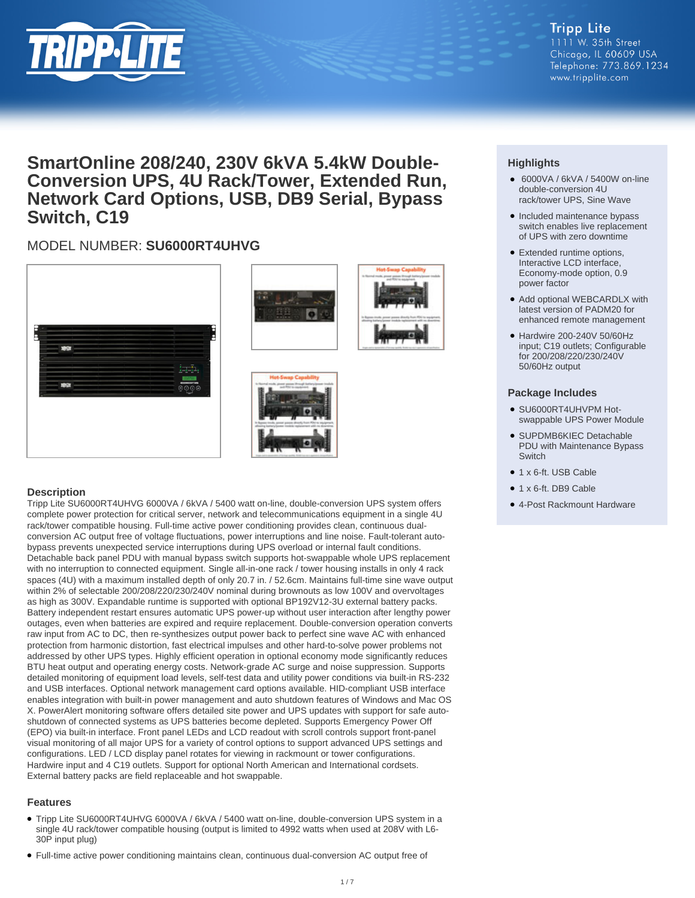

#### **Tripp Lite** 1111 W. 35th Street Chicago, IL 60609 USA Telephone: 773.869.1234 www.tripplite.com

# **SmartOnline 208/240, 230V 6kVA 5.4kW Double-Conversion UPS, 4U Rack/Tower, Extended Run, Network Card Options, USB, DB9 Serial, Bypass Switch, C19**

## MODEL NUMBER: **SU6000RT4UHVG**







#### **Description**

Tripp Lite SU6000RT4UHVG 6000VA / 6kVA / 5400 watt on-line, double-conversion UPS system offers complete power protection for critical server, network and telecommunications equipment in a single 4U rack/tower compatible housing. Full-time active power conditioning provides clean, continuous dualconversion AC output free of voltage fluctuations, power interruptions and line noise. Fault-tolerant autobypass prevents unexpected service interruptions during UPS overload or internal fault conditions. Detachable back panel PDU with manual bypass switch supports hot-swappable whole UPS replacement with no interruption to connected equipment. Single all-in-one rack / tower housing installs in only 4 rack spaces (4U) with a maximum installed depth of only 20.7 in. / 52.6cm. Maintains full-time sine wave output within 2% of selectable 200/208/220/230/240V nominal during brownouts as low 100V and overvoltages as high as 300V. Expandable runtime is supported with optional BP192V12-3U external battery packs. Battery independent restart ensures automatic UPS power-up without user interaction after lengthy power outages, even when batteries are expired and require replacement. Double-conversion operation converts raw input from AC to DC, then re-synthesizes output power back to perfect sine wave AC with enhanced protection from harmonic distortion, fast electrical impulses and other hard-to-solve power problems not addressed by other UPS types. Highly efficient operation in optional economy mode significantly reduces BTU heat output and operating energy costs. Network-grade AC surge and noise suppression. Supports detailed monitoring of equipment load levels, self-test data and utility power conditions via built-in RS-232 and USB interfaces. Optional network management card options available. HID-compliant USB interface enables integration with built-in power management and auto shutdown features of Windows and Mac OS X. PowerAlert monitoring software offers detailed site power and UPS updates with support for safe autoshutdown of connected systems as UPS batteries become depleted. Supports Emergency Power Off (EPO) via built-in interface. Front panel LEDs and LCD readout with scroll controls support front-panel visual monitoring of all major UPS for a variety of control options to support advanced UPS settings and configurations. LED / LCD display panel rotates for viewing in rackmount or tower configurations. Hardwire input and 4 C19 outlets. Support for optional North American and International cordsets. External battery packs are field replaceable and hot swappable.

#### **Features**

- Tripp Lite SU6000RT4UHVG 6000VA / 6kVA / 5400 watt on-line, double-conversion UPS system in a single 4U rack/tower compatible housing (output is limited to 4992 watts when used at 208V with L6- 30P input plug)
- Full-time active power conditioning maintains clean, continuous dual-conversion AC output free of

### **Highlights**

- 6000VA / 6kVA / 5400W on-line double-conversion 4U rack/tower UPS, Sine Wave
- Included maintenance bypass switch enables live replacement of UPS with zero downtime
- Extended runtime options, Interactive LCD interface, Economy-mode option, 0.9 power factor
- Add optional WEBCARDLX with latest version of PADM20 for enhanced remote management
- Hardwire 200-240V 50/60Hz input; C19 outlets; Configurable for 200/208/220/230/240V 50/60Hz output

#### **Package Includes**

- SU6000RT4UHVPM Hot-● swappable UPS Power Module
- SUPDMB6KIEC Detachable PDU with Maintenance Bypass **Switch**
- 1 x 6-ft. USB Cable
- 1 x 6-ft. DB9 Cable
- 4-Post Rackmount Hardware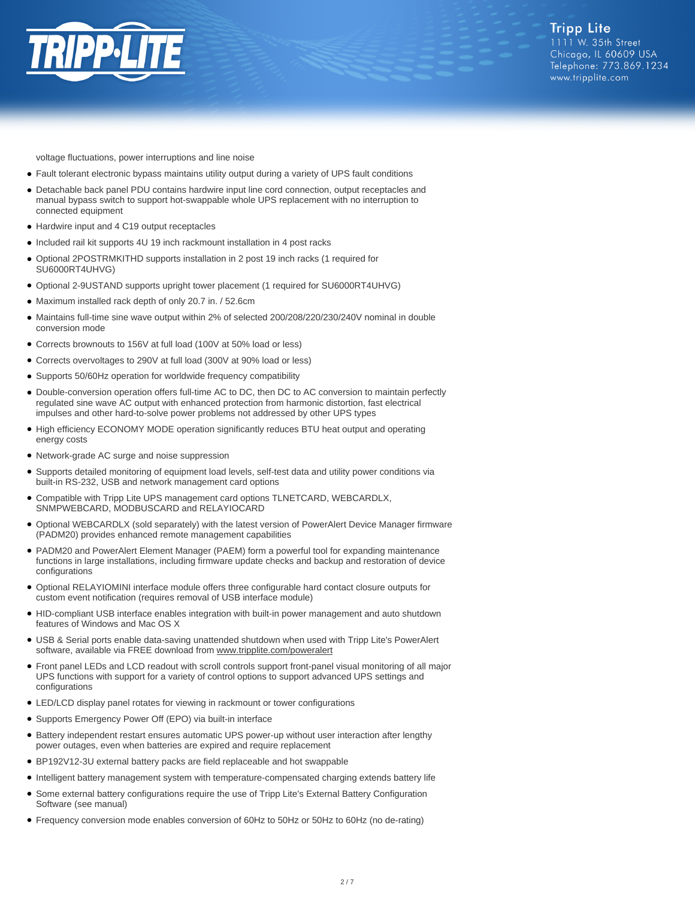

voltage fluctuations, power interruptions and line noise

- Fault tolerant electronic bypass maintains utility output during a variety of UPS fault conditions
- Detachable back panel PDU contains hardwire input line cord connection, output receptacles and manual bypass switch to support hot-swappable whole UPS replacement with no interruption to connected equipment
- Hardwire input and 4 C19 output receptacles
- Included rail kit supports 4U 19 inch rackmount installation in 4 post racks
- Optional 2POSTRMKITHD supports installation in 2 post 19 inch racks (1 required for SU6000RT4UHVG)
- Optional 2-9USTAND supports upright tower placement (1 required for SU6000RT4UHVG)
- Maximum installed rack depth of only 20.7 in. / 52.6cm
- Maintains full-time sine wave output within 2% of selected 200/208/220/230/240V nominal in double conversion mode
- Corrects brownouts to 156V at full load (100V at 50% load or less)
- Corrects overvoltages to 290V at full load (300V at 90% load or less)
- Supports 50/60Hz operation for worldwide frequency compatibility
- Double-conversion operation offers full-time AC to DC, then DC to AC conversion to maintain perfectly regulated sine wave AC output with enhanced protection from harmonic distortion, fast electrical impulses and other hard-to-solve power problems not addressed by other UPS types
- High efficiency ECONOMY MODE operation significantly reduces BTU heat output and operating energy costs
- Network-grade AC surge and noise suppression
- Supports detailed monitoring of equipment load levels, self-test data and utility power conditions via built-in RS-232, USB and network management card options
- Compatible with Tripp Lite UPS management card options TLNETCARD, WEBCARDLX, SNMPWEBCARD, MODBUSCARD and RELAYIOCARD
- Optional WEBCARDLX (sold separately) with the latest version of PowerAlert Device Manager firmware (PADM20) provides enhanced remote management capabilities
- PADM20 and PowerAlert Element Manager (PAEM) form a powerful tool for expanding maintenance functions in large installations, including firmware update checks and backup and restoration of device configurations
- Optional RELAYIOMINI interface module offers three configurable hard contact closure outputs for custom event notification (requires removal of USB interface module)
- HID-compliant USB interface enables integration with built-in power management and auto shutdown features of Windows and Mac OS X
- USB & Serial ports enable data-saving unattended shutdown when used with Tripp Lite's PowerAlert software, available via FREE download from [www.tripplite.com/poweralert](https://www.tripplite.com/poweralert)
- Front panel LEDs and LCD readout with scroll controls support front-panel visual monitoring of all major UPS functions with support for a variety of control options to support advanced UPS settings and configurations
- LED/LCD display panel rotates for viewing in rackmount or tower configurations
- Supports Emergency Power Off (EPO) via built-in interface
- Battery independent restart ensures automatic UPS power-up without user interaction after lengthy power outages, even when batteries are expired and require replacement
- BP192V12-3U external battery packs are field replaceable and hot swappable
- Intelligent battery management system with temperature-compensated charging extends battery life
- Some external battery configurations require the use of Tripp Lite's External Battery Configuration Software (see manual) ●
- Frequency conversion mode enables conversion of 60Hz to 50Hz or 50Hz to 60Hz (no de-rating)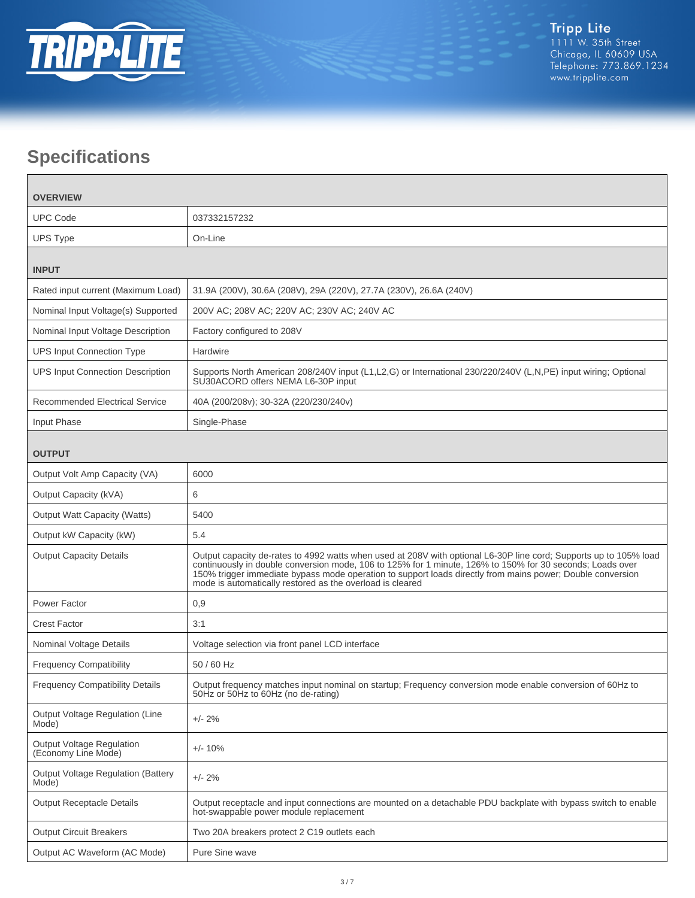

# **Specifications**

| <b>OVERVIEW</b>                                         |                                                                                                                                                                                                                                                                                                                                                                                                           |  |
|---------------------------------------------------------|-----------------------------------------------------------------------------------------------------------------------------------------------------------------------------------------------------------------------------------------------------------------------------------------------------------------------------------------------------------------------------------------------------------|--|
| <b>UPC Code</b>                                         | 037332157232                                                                                                                                                                                                                                                                                                                                                                                              |  |
| <b>UPS Type</b>                                         | On-Line                                                                                                                                                                                                                                                                                                                                                                                                   |  |
| <b>INPUT</b>                                            |                                                                                                                                                                                                                                                                                                                                                                                                           |  |
| Rated input current (Maximum Load)                      | 31.9A (200V), 30.6A (208V), 29A (220V), 27.7A (230V), 26.6A (240V)                                                                                                                                                                                                                                                                                                                                        |  |
| Nominal Input Voltage(s) Supported                      | 200V AC; 208V AC; 220V AC; 230V AC; 240V AC                                                                                                                                                                                                                                                                                                                                                               |  |
| Nominal Input Voltage Description                       | Factory configured to 208V                                                                                                                                                                                                                                                                                                                                                                                |  |
| <b>UPS Input Connection Type</b>                        | Hardwire                                                                                                                                                                                                                                                                                                                                                                                                  |  |
| <b>UPS Input Connection Description</b>                 | Supports North American 208/240V input (L1,L2,G) or International 230/220/240V (L,N,PE) input wiring; Optional<br>SU30ACORD offers NEMA L6-30P input                                                                                                                                                                                                                                                      |  |
| <b>Recommended Electrical Service</b>                   | 40A (200/208v); 30-32A (220/230/240v)                                                                                                                                                                                                                                                                                                                                                                     |  |
| Input Phase                                             | Single-Phase                                                                                                                                                                                                                                                                                                                                                                                              |  |
| <b>OUTPUT</b>                                           |                                                                                                                                                                                                                                                                                                                                                                                                           |  |
| Output Volt Amp Capacity (VA)                           | 6000                                                                                                                                                                                                                                                                                                                                                                                                      |  |
| Output Capacity (kVA)                                   | 6                                                                                                                                                                                                                                                                                                                                                                                                         |  |
| <b>Output Watt Capacity (Watts)</b>                     | 5400                                                                                                                                                                                                                                                                                                                                                                                                      |  |
| Output kW Capacity (kW)                                 | 5.4                                                                                                                                                                                                                                                                                                                                                                                                       |  |
| <b>Output Capacity Details</b>                          | Output capacity de-rates to 4992 watts when used at 208V with optional L6-30P line cord; Supports up to 105% load<br>continuously in double conversion mode, 106 to 125% for 1 minute, 126% to 150% for 30 seconds; Loads over<br>150% trigger immediate bypass mode operation to support loads directly from mains power; Double conversion<br>mode is automatically restored as the overload is cleared |  |
| Power Factor                                            | 0,9                                                                                                                                                                                                                                                                                                                                                                                                       |  |
| <b>Crest Factor</b>                                     | 3:1                                                                                                                                                                                                                                                                                                                                                                                                       |  |
| Nominal Voltage Details                                 | Voltage selection via front panel LCD interface                                                                                                                                                                                                                                                                                                                                                           |  |
| <b>Frequency Compatibility</b>                          | 50 / 60 Hz                                                                                                                                                                                                                                                                                                                                                                                                |  |
| <b>Frequency Compatibility Details</b>                  | Output frequency matches input nominal on startup; Frequency conversion mode enable conversion of 60Hz to<br>50Hz or 50Hz to 60Hz (no de-rating)                                                                                                                                                                                                                                                          |  |
| Output Voltage Regulation (Line<br>Mode)                | $+/- 2%$                                                                                                                                                                                                                                                                                                                                                                                                  |  |
| <b>Output Voltage Regulation</b><br>(Economy Line Mode) | $+/- 10%$                                                                                                                                                                                                                                                                                                                                                                                                 |  |
| <b>Output Voltage Regulation (Battery</b><br>Mode)      | $+/- 2%$                                                                                                                                                                                                                                                                                                                                                                                                  |  |
| <b>Output Receptacle Details</b>                        | Output receptacle and input connections are mounted on a detachable PDU backplate with bypass switch to enable<br>hot-swappable power module replacement                                                                                                                                                                                                                                                  |  |
| <b>Output Circuit Breakers</b>                          | Two 20A breakers protect 2 C19 outlets each                                                                                                                                                                                                                                                                                                                                                               |  |
| Output AC Waveform (AC Mode)                            | Pure Sine wave                                                                                                                                                                                                                                                                                                                                                                                            |  |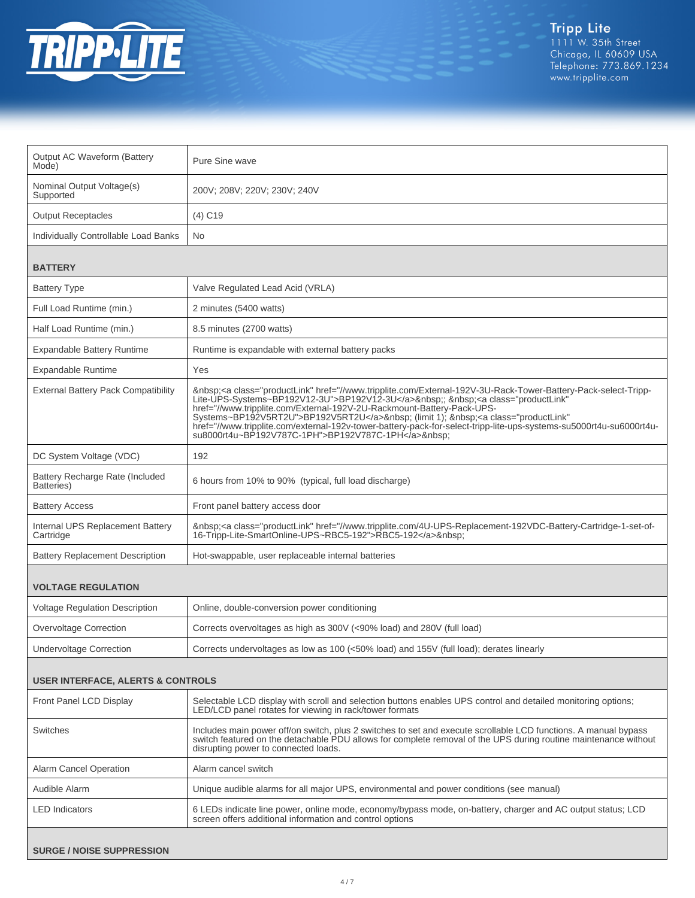

| Output AC Waveform (Battery<br>Mode)          | Pure Sine wave                                                                                                                                                                                                                                                                                                                                                                                                                                                                                                                      |  |
|-----------------------------------------------|-------------------------------------------------------------------------------------------------------------------------------------------------------------------------------------------------------------------------------------------------------------------------------------------------------------------------------------------------------------------------------------------------------------------------------------------------------------------------------------------------------------------------------------|--|
| Nominal Output Voltage(s)<br>Supported        | 200V; 208V; 220V; 230V; 240V                                                                                                                                                                                                                                                                                                                                                                                                                                                                                                        |  |
| <b>Output Receptacles</b>                     | $(4)$ C <sub>19</sub>                                                                                                                                                                                                                                                                                                                                                                                                                                                                                                               |  |
| Individually Controllable Load Banks          | <b>No</b>                                                                                                                                                                                                                                                                                                                                                                                                                                                                                                                           |  |
| <b>BATTERY</b>                                |                                                                                                                                                                                                                                                                                                                                                                                                                                                                                                                                     |  |
| <b>Battery Type</b>                           | Valve Regulated Lead Acid (VRLA)                                                                                                                                                                                                                                                                                                                                                                                                                                                                                                    |  |
| Full Load Runtime (min.)                      | 2 minutes (5400 watts)                                                                                                                                                                                                                                                                                                                                                                                                                                                                                                              |  |
| Half Load Runtime (min.)                      | 8.5 minutes (2700 watts)                                                                                                                                                                                                                                                                                                                                                                                                                                                                                                            |  |
| <b>Expandable Battery Runtime</b>             | Runtime is expandable with external battery packs                                                                                                                                                                                                                                                                                                                                                                                                                                                                                   |  |
| <b>Expandable Runtime</b>                     | Yes                                                                                                                                                                                                                                                                                                                                                                                                                                                                                                                                 |  |
| <b>External Battery Pack Compatibility</b>    | <a class="productLink" href="//www.tripplite.com/External-192V-3U-Rack-Tower-Battery-Pack-select-Tripp-&lt;br&gt;Lite-UPS-Systems~BP192V12-3U">BP192V12-3U</a> ; <a <br="" class="productLink">href="//www.tripplite.com/External-192V-2U-Rackmount-Battery-Pack-UPS-<br/>Systems~BP192V5RT2U"&gt;BP192V5RT2U</a> (limit 1); <a <br="" class="productLink">href="//www.tripplite.com/external-192v-tower-battery-pack-for-select-tripp-lite-ups-systems-su5000rt4u-su6000rt4u-<br/>su8000rt4u~BP192V787C-1PH"&gt;BP192V787C-1PH</a> |  |
| DC System Voltage (VDC)                       | 192                                                                                                                                                                                                                                                                                                                                                                                                                                                                                                                                 |  |
| Battery Recharge Rate (Included<br>Batteries) | 6 hours from 10% to 90% (typical, full load discharge)                                                                                                                                                                                                                                                                                                                                                                                                                                                                              |  |
| <b>Battery Access</b>                         | Front panel battery access door                                                                                                                                                                                                                                                                                                                                                                                                                                                                                                     |  |
| Internal UPS Replacement Battery<br>Cartridge | <a class="productLink" href="//www.tripplite.com/4U-UPS-Replacement-192VDC-Battery-Cartridge-1-set-of-&lt;br&gt;16-Tripp-Lite-SmartOnline-UPS~RBC5-192">RBC5-192</a>                                                                                                                                                                                                                                                                                                                                                                |  |
| <b>Battery Replacement Description</b>        | Hot-swappable, user replaceable internal batteries                                                                                                                                                                                                                                                                                                                                                                                                                                                                                  |  |
| <b>VOLTAGE REGULATION</b>                     |                                                                                                                                                                                                                                                                                                                                                                                                                                                                                                                                     |  |
| <b>Voltage Regulation Description</b>         | Online, double-conversion power conditioning                                                                                                                                                                                                                                                                                                                                                                                                                                                                                        |  |
| Overvoltage Correction                        | Corrects overvoltages as high as 300V (<90% load) and 280V (full load)                                                                                                                                                                                                                                                                                                                                                                                                                                                              |  |
| <b>Undervoltage Correction</b>                | Corrects undervoltages as low as 100 (<50% load) and 155V (full load); derates linearly                                                                                                                                                                                                                                                                                                                                                                                                                                             |  |
| <b>USER INTERFACE, ALERTS &amp; CONTROLS</b>  |                                                                                                                                                                                                                                                                                                                                                                                                                                                                                                                                     |  |
| Front Panel LCD Display                       | Selectable LCD display with scroll and selection buttons enables UPS control and detailed monitoring options;<br>LED/LCD panel rotates for viewing in rack/tower formats                                                                                                                                                                                                                                                                                                                                                            |  |
| <b>Switches</b>                               | Includes main power off/on switch, plus 2 switches to set and execute scrollable LCD functions. A manual bypass<br>switch featured on the detachable PDU allows for complete removal of the UPS during routine maintenance without<br>disrupting power to connected loads.                                                                                                                                                                                                                                                          |  |
| <b>Alarm Cancel Operation</b>                 | Alarm cancel switch                                                                                                                                                                                                                                                                                                                                                                                                                                                                                                                 |  |
| Audible Alarm                                 | Unique audible alarms for all major UPS, environmental and power conditions (see manual)                                                                                                                                                                                                                                                                                                                                                                                                                                            |  |
| <b>LED</b> Indicators                         | 6 LEDs indicate line power, online mode, economy/bypass mode, on-battery, charger and AC output status; LCD<br>screen offers additional information and control options                                                                                                                                                                                                                                                                                                                                                             |  |
| <b>SURGE / NOISE SUPPRESSION</b>              |                                                                                                                                                                                                                                                                                                                                                                                                                                                                                                                                     |  |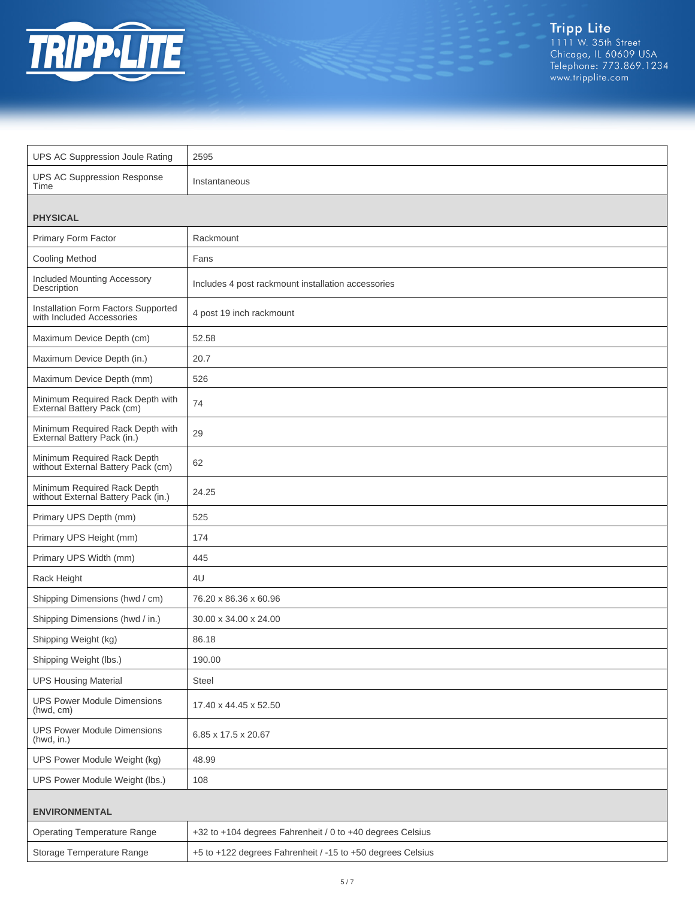

Tripp Lite<br>1111 W. 35th Street<br>Chicago, IL 60609 USA<br>Telephone: 773.869.1234<br>www.tripplite.com

| <b>UPS AC Suppression Joule Rating</b>                             | 2595                                                       |  |
|--------------------------------------------------------------------|------------------------------------------------------------|--|
| <b>UPS AC Suppression Response</b><br>Time                         | Instantaneous                                              |  |
| <b>PHYSICAL</b>                                                    |                                                            |  |
| Primary Form Factor                                                | Rackmount                                                  |  |
| <b>Cooling Method</b>                                              | Fans                                                       |  |
| Included Mounting Accessory<br>Description                         | Includes 4 post rackmount installation accessories         |  |
| Installation Form Factors Supported<br>with Included Accessories   | 4 post 19 inch rackmount                                   |  |
| Maximum Device Depth (cm)                                          | 52.58                                                      |  |
| Maximum Device Depth (in.)                                         | 20.7                                                       |  |
| Maximum Device Depth (mm)                                          | 526                                                        |  |
| Minimum Required Rack Depth with<br>External Battery Pack (cm)     | 74                                                         |  |
| Minimum Required Rack Depth with<br>External Battery Pack (in.)    | 29                                                         |  |
| Minimum Required Rack Depth<br>without External Battery Pack (cm)  | 62                                                         |  |
| Minimum Required Rack Depth<br>without External Battery Pack (in.) | 24.25                                                      |  |
| Primary UPS Depth (mm)                                             | 525                                                        |  |
| Primary UPS Height (mm)                                            | 174                                                        |  |
| Primary UPS Width (mm)                                             | 445                                                        |  |
| Rack Height                                                        | 4U                                                         |  |
| Shipping Dimensions (hwd / cm)                                     | 76.20 x 86.36 x 60.96                                      |  |
| Shipping Dimensions (hwd / in.)                                    | 30.00 x 34.00 x 24.00                                      |  |
| Shipping Weight (kg)                                               | 86.18                                                      |  |
| Shipping Weight (lbs.)                                             | 190.00                                                     |  |
| <b>UPS Housing Material</b>                                        | Steel                                                      |  |
| <b>UPS Power Module Dimensions</b><br>(hwd, cm)                    | 17.40 x 44.45 x 52.50                                      |  |
| <b>UPS Power Module Dimensions</b><br>(hwd, in.)                   | 6.85 x 17.5 x 20.67                                        |  |
| UPS Power Module Weight (kg)                                       | 48.99                                                      |  |
| UPS Power Module Weight (lbs.)                                     | 108                                                        |  |
| <b>ENVIRONMENTAL</b>                                               |                                                            |  |
| <b>Operating Temperature Range</b>                                 | +32 to +104 degrees Fahrenheit / 0 to +40 degrees Celsius  |  |
| Storage Temperature Range                                          | +5 to +122 degrees Fahrenheit / -15 to +50 degrees Celsius |  |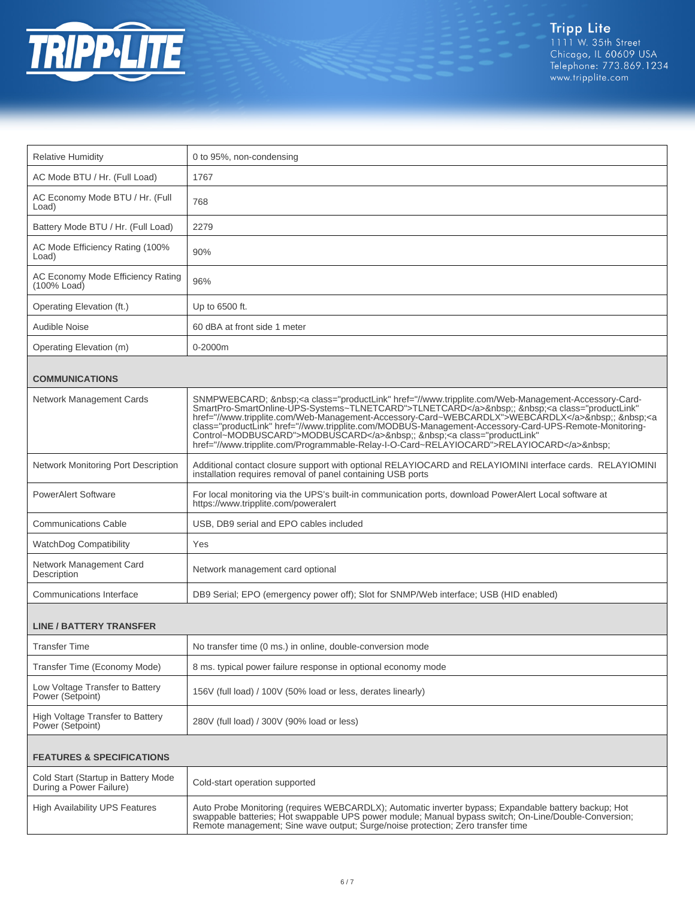

| 0 to 95%, non-condensing                                                                                                                                                                                                                                                                                                                                                                                                                                                                                                                                                              |  |  |
|---------------------------------------------------------------------------------------------------------------------------------------------------------------------------------------------------------------------------------------------------------------------------------------------------------------------------------------------------------------------------------------------------------------------------------------------------------------------------------------------------------------------------------------------------------------------------------------|--|--|
|                                                                                                                                                                                                                                                                                                                                                                                                                                                                                                                                                                                       |  |  |
| 1767                                                                                                                                                                                                                                                                                                                                                                                                                                                                                                                                                                                  |  |  |
| 768                                                                                                                                                                                                                                                                                                                                                                                                                                                                                                                                                                                   |  |  |
| 2279                                                                                                                                                                                                                                                                                                                                                                                                                                                                                                                                                                                  |  |  |
| 90%                                                                                                                                                                                                                                                                                                                                                                                                                                                                                                                                                                                   |  |  |
| 96%                                                                                                                                                                                                                                                                                                                                                                                                                                                                                                                                                                                   |  |  |
| Up to 6500 ft.                                                                                                                                                                                                                                                                                                                                                                                                                                                                                                                                                                        |  |  |
| 60 dBA at front side 1 meter                                                                                                                                                                                                                                                                                                                                                                                                                                                                                                                                                          |  |  |
| 0-2000m                                                                                                                                                                                                                                                                                                                                                                                                                                                                                                                                                                               |  |  |
|                                                                                                                                                                                                                                                                                                                                                                                                                                                                                                                                                                                       |  |  |
|                                                                                                                                                                                                                                                                                                                                                                                                                                                                                                                                                                                       |  |  |
| SNMPWEBCARD;  : <a class="productLink" href="//www.tripplite.com/Web-Management-Accessory-Card-&lt;br&gt;SmartPro-SmartOnline-UPS-Systems~TLNETCARD">TLNETCARD<br/>c/a&gt; ;  <a <br="" class="productLink">href="//www.tripplite.com/Web-Management-Accessory-Card~WEBCARDLX"&gt;WEBCARDLX</a> ;  <a<br>class="productLink" href="//www.tripplite.com/MODBUS-Management-Accessory-Card-UPS-Remote-Monitoring-<br/>Control~MODBUSCARD"&gt;MODBUSCARD</a<br></a> ; <a <br="" class="productLink">href="//www.tripplite.com/Programmable-Relay-I-O-Card~RELAYIOCARD"&gt;RELAYIOCARD</a> |  |  |
| Additional contact closure support with optional RELAYIOCARD and RELAYIOMINI interface cards. RELAYIOMINI<br>installation requires removal of panel containing USB ports                                                                                                                                                                                                                                                                                                                                                                                                              |  |  |
| For local monitoring via the UPS's built-in communication ports, download PowerAlert Local software at<br>https://www.tripplite.com/poweralert                                                                                                                                                                                                                                                                                                                                                                                                                                        |  |  |
| USB, DB9 serial and EPO cables included                                                                                                                                                                                                                                                                                                                                                                                                                                                                                                                                               |  |  |
| Yes                                                                                                                                                                                                                                                                                                                                                                                                                                                                                                                                                                                   |  |  |
| Network management card optional                                                                                                                                                                                                                                                                                                                                                                                                                                                                                                                                                      |  |  |
| DB9 Serial; EPO (emergency power off); Slot for SNMP/Web interface; USB (HID enabled)                                                                                                                                                                                                                                                                                                                                                                                                                                                                                                 |  |  |
|                                                                                                                                                                                                                                                                                                                                                                                                                                                                                                                                                                                       |  |  |
|                                                                                                                                                                                                                                                                                                                                                                                                                                                                                                                                                                                       |  |  |
| No transfer time (0 ms.) in online, double-conversion mode                                                                                                                                                                                                                                                                                                                                                                                                                                                                                                                            |  |  |
| 8 ms. typical power failure response in optional economy mode                                                                                                                                                                                                                                                                                                                                                                                                                                                                                                                         |  |  |
| 156V (full load) / 100V (50% load or less, derates linearly)                                                                                                                                                                                                                                                                                                                                                                                                                                                                                                                          |  |  |
| 280V (full load) / 300V (90% load or less)                                                                                                                                                                                                                                                                                                                                                                                                                                                                                                                                            |  |  |
| <b>FEATURES &amp; SPECIFICATIONS</b>                                                                                                                                                                                                                                                                                                                                                                                                                                                                                                                                                  |  |  |
| Cold-start operation supported                                                                                                                                                                                                                                                                                                                                                                                                                                                                                                                                                        |  |  |
| Auto Probe Monitoring (requires WEBCARDLX); Automatic inverter bypass; Expandable battery backup; Hot<br>swappable batteries; Hot swappable UPS power module; Manual bypass switch; On-Line/Double-Conversion;<br>Remote management; Sine wave output; Surge/noise protection; Zero transfer time                                                                                                                                                                                                                                                                                     |  |  |
|                                                                                                                                                                                                                                                                                                                                                                                                                                                                                                                                                                                       |  |  |